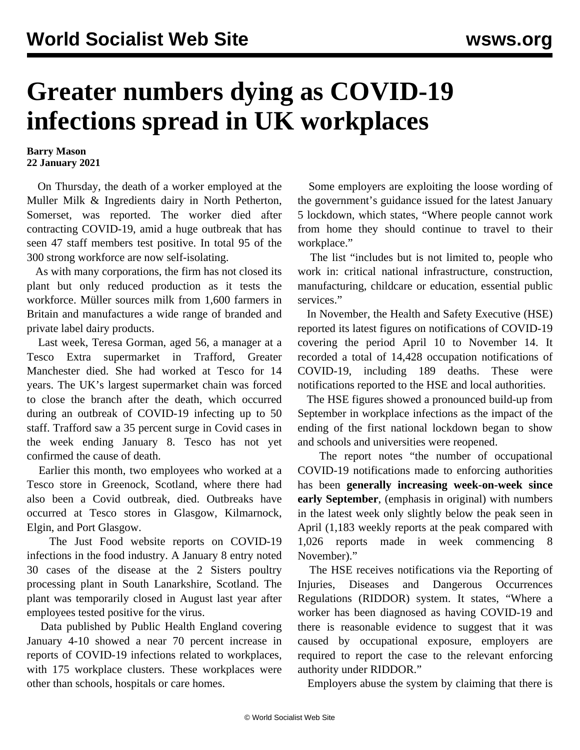## **Greater numbers dying as COVID-19 infections spread in UK workplaces**

**Barry Mason 22 January 2021**

 On Thursday, the death of a worker employed at the Muller Milk & Ingredients dairy in North Petherton, Somerset, was reported. The worker died after contracting COVID-19, amid a huge outbreak that has seen 47 staff members test positive. In total 95 of the 300 strong workforce are now self-isolating.

 As with many corporations, the firm has not closed its plant but only reduced production as it tests the workforce. Müller sources milk from 1,600 farmers in Britain and manufactures a wide range of branded and private label dairy products.

 Last week, Teresa Gorman, aged 56, a manager at a Tesco Extra supermarket in Trafford, Greater Manchester died. She had worked at Tesco for 14 years. The UK's largest supermarket chain was forced to close the branch after the death, which occurred during an outbreak of COVID-19 infecting up to 50 staff. Trafford saw a 35 percent surge in Covid cases in the week ending January 8. Tesco has not yet confirmed the cause of death.

 Earlier this month, two employees who worked at a Tesco store in Greenock, Scotland, where there had also been a Covid outbreak, died. Outbreaks have occurred at Tesco stores in Glasgow, Kilmarnock, Elgin, and Port Glasgow.

 The Just Food website reports on COVID-19 infections in the food industry. A January 8 entry noted 30 cases of the disease at the 2 Sisters poultry processing plant in South Lanarkshire, Scotland. The plant was temporarily [closed](/en/articles/2020/07/08/meat-j08.html) in August last year after employees tested positive for the virus.

 Data published by Public Health England covering January 4-10 showed a near 70 percent increase in reports of COVID-19 infections related to workplaces, with 175 workplace clusters. These workplaces were other than schools, hospitals or care homes.

 Some employers are exploiting the loose wording of the government's guidance issued for the latest January 5 lockdown, which states, "Where people cannot work from home they should continue to travel to their workplace."

 The list "includes but is not limited to, people who work in: critical national infrastructure, construction, manufacturing, childcare or education, essential public services."

 In November, the Health and Safety Executive (HSE) reported its latest figures on notifications of COVID-19 covering the period April 10 to November 14. It recorded a total of 14,428 occupation notifications of COVID-19, including 189 deaths. These were notifications reported to the HSE and local authorities.

 The HSE figures showed a pronounced build-up from September in workplace infections as the impact of the ending of the first national lockdown began to show and schools and universities were reopened.

 The report notes "the number of occupational COVID-19 notifications made to enforcing authorities has been **generally increasing week-on-week since early September**, (emphasis in original) with numbers in the latest week only slightly below the peak seen in April (1,183 weekly reports at the peak compared with 1,026 reports made in week commencing 8 November)."

 The HSE receives notifications via the Reporting of Injuries, Diseases and Dangerous Occurrences Regulations (RIDDOR) system. It states, "Where a worker has been diagnosed as having COVID-19 and there is reasonable evidence to suggest that it was caused by occupational exposure, employers are required to report the case to the relevant enforcing authority under RIDDOR."

Employers abuse the system by claiming that there is